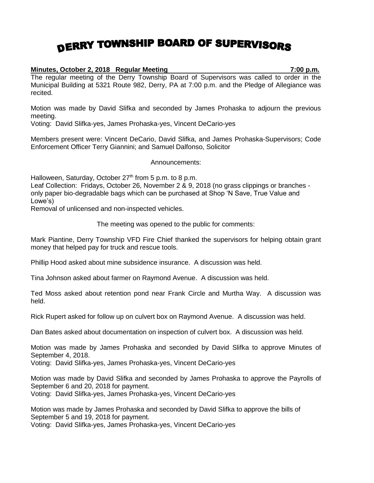## DERRY TOWNSHIP BOARD OF SUPERVISORS

## **Minutes, October 2, 2018 Regular Meeting 7:00 p.m.**

The regular meeting of the Derry Township Board of Supervisors was called to order in the Municipal Building at 5321 Route 982, Derry, PA at 7:00 p.m. and the Pledge of Allegiance was recited.

Motion was made by David Slifka and seconded by James Prohaska to adjourn the previous meeting.

Voting: David Slifka-yes, James Prohaska-yes, Vincent DeCario-yes

Members present were: Vincent DeCario, David Slifka, and James Prohaska-Supervisors; Code Enforcement Officer Terry Giannini; and Samuel Dalfonso, Solicitor

Announcements:

Halloween, Saturday, October 27<sup>th</sup> from 5 p.m. to 8 p.m.

Leaf Collection: Fridays, October 26, November 2 & 9, 2018 (no grass clippings or branches only paper bio-degradable bags which can be purchased at Shop 'N Save, True Value and Lowe's)

Removal of unlicensed and non-inspected vehicles.

The meeting was opened to the public for comments:

Mark Piantine, Derry Township VFD Fire Chief thanked the supervisors for helping obtain grant money that helped pay for truck and rescue tools.

Phillip Hood asked about mine subsidence insurance. A discussion was held.

Tina Johnson asked about farmer on Raymond Avenue. A discussion was held.

Ted Moss asked about retention pond near Frank Circle and Murtha Way. A discussion was held.

Rick Rupert asked for follow up on culvert box on Raymond Avenue. A discussion was held.

Dan Bates asked about documentation on inspection of culvert box. A discussion was held.

Motion was made by James Prohaska and seconded by David Slifka to approve Minutes of September 4, 2018.

Voting: David Slifka-yes, James Prohaska-yes, Vincent DeCario-yes

Motion was made by David Slifka and seconded by James Prohaska to approve the Payrolls of September 6 and 20, 2018 for payment. Voting: David Slifka-yes, James Prohaska-yes, Vincent DeCario-yes

Motion was made by James Prohaska and seconded by David Slifka to approve the bills of September 5 and 19, 2018 for payment. Voting: David Slifka-yes, James Prohaska-yes, Vincent DeCario-yes